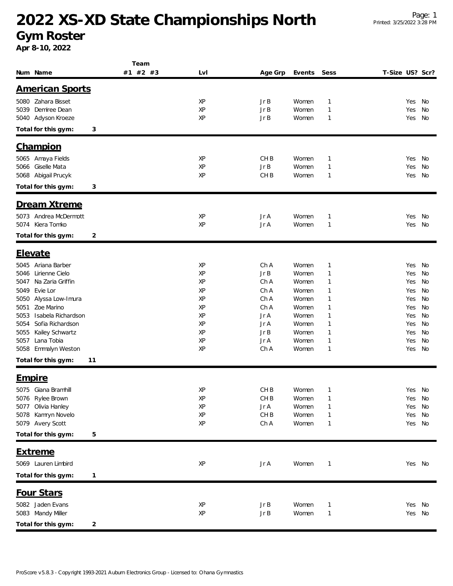## **2022 XS-XD State Championships North**

**Gym Roster**

**Apr 8-10, 2022**

| Num Name                                      | Team<br>#1 #2 #3 | LvI      | Age Grp         | Events         | Sess                         | T-Size US? Scr? |            |           |
|-----------------------------------------------|------------------|----------|-----------------|----------------|------------------------------|-----------------|------------|-----------|
| <b>American Sports</b>                        |                  |          |                 |                |                              |                 |            |           |
|                                               |                  |          |                 |                |                              |                 |            |           |
| 5080 Zahara Bisset<br>Demiree Dean            |                  | XP       | Jr B            | Women          | $\mathbf{1}$                 |                 | Yes        | No        |
| 5039<br>Adyson Kroeze<br>5040                 |                  | XP<br>XP | Jr B<br>Jr B    | Women<br>Women | $\mathbf{1}$<br>$\mathbf{1}$ |                 | Yes<br>Yes | No<br>No  |
|                                               |                  |          |                 |                |                              |                 |            |           |
| Total for this gym:                           | 3                |          |                 |                |                              |                 |            |           |
| <b>Champion</b>                               |                  |          |                 |                |                              |                 |            |           |
| Amaya Fields<br>5065                          |                  | XP       | CH <sub>B</sub> | Women          | $\mathbf{1}$                 |                 | Yes        | No        |
| Giselle Mata<br>5066                          |                  | XP       | JrB             | Women          | $\mathbf{1}$                 |                 | Yes        | No        |
| Abigail Prucyk<br>5068                        |                  | XP       | CH <sub>B</sub> | Women          | $\mathbf{1}$                 |                 | Yes        | No        |
| Total for this gym:                           | 3                |          |                 |                |                              |                 |            |           |
| Dream Xtreme                                  |                  |          |                 |                |                              |                 |            |           |
| 5073 Andrea McDermott                         |                  | XP       | Jr A            | Women          | $\mathbf{1}$                 |                 | Yes        | No        |
| Kiera Tomko<br>5074                           |                  | XP       | Jr A            | Women          | $\mathbf{1}$                 |                 | Yes        | No        |
| Total for this gym:                           | 2                |          |                 |                |                              |                 |            |           |
|                                               |                  |          |                 |                |                              |                 |            |           |
| <b>Elevate</b>                                |                  |          |                 |                |                              |                 |            |           |
| 5045<br>Ariana Barber                         |                  | XP       | Ch A            | Women          | $\mathbf{1}$                 |                 | Yes        | No        |
| Lirienne Cielo<br>5046                        |                  | XP       | Jr B            | Women          | $\mathbf{1}$                 |                 | Yes        | No        |
| Na Zaria Griffin<br>5047                      |                  | XP       | Ch A            | Women          | $\mathbf{1}$                 |                 | Yes        | No        |
| 5049<br>Evie Lor                              |                  | XP       | Ch A            | Women          | $\mathbf{1}$                 |                 | Yes        | No        |
| Alyssa Low-Imura<br>5050                      |                  | XP       | Ch A            | Women          | $\mathbf{1}$                 |                 | Yes        | No        |
| Zoe Marino<br>5051                            |                  | XP       | Ch A            | Women          | $\mathbf{1}$                 |                 | Yes        | No        |
| Isabela Richardson<br>5053                    |                  | XP       | Jr A            | Women          | $\mathbf{1}$                 |                 | Yes        | No        |
| Sofia Richardson<br>5054                      |                  | XP<br>XP | Jr A            | Women          | $\mathbf{1}$                 |                 | Yes        | <b>No</b> |
| Kailey Schwartz<br>5055<br>Lana Tobia<br>5057 |                  | XP       | Jr B<br>Jr A    | Women<br>Women | $\mathbf{1}$<br>$\mathbf{1}$ |                 | Yes<br>Yes | No<br>No  |
| Emmalyn Weston<br>5058                        |                  | XP       | Ch A            | Women          | $\mathbf{1}$                 |                 | Yes        | No        |
| Total for this gym:                           |                  |          |                 |                |                              |                 |            |           |
|                                               | 11               |          |                 |                |                              |                 |            |           |
| <u>Empire</u>                                 |                  |          |                 |                |                              |                 |            |           |
| 5075 Giana Bramhill                           |                  | XP       | CH <sub>B</sub> | Women          | $\mathbf 1$                  |                 | Yes No     |           |
| 5076 Rylee Brown                              |                  | XP       | CH <sub>B</sub> | Women          | $\mathbf{1}$                 |                 | Yes        | No        |
| Olivia Hanley<br>5077                         |                  | XP       | Jr A            | Women          | $\mathbf{1}$                 |                 | Yes        | No        |
| Kamryn Novelo<br>5078                         |                  | XP       | CHB             | Women          | $\mathbf{1}$                 |                 | Yes        | No        |
| 5079 Avery Scott                              |                  | XP       | Ch A            | Women          | $\mathbf{1}$                 |                 | Yes        | No        |
| Total for this gym:                           | 5                |          |                 |                |                              |                 |            |           |
| <b>Extreme</b>                                |                  |          |                 |                |                              |                 |            |           |
| 5069 Lauren Limbird                           |                  | XP       | Jr A            | Women          | $\mathbf{1}$                 |                 | Yes No     |           |
| Total for this gym:                           | 1                |          |                 |                |                              |                 |            |           |
| Four Stars                                    |                  |          |                 |                |                              |                 |            |           |
|                                               |                  |          |                 |                |                              |                 |            |           |
| 5082 Jaden Evans<br>5083 Mandy Miller         |                  | XP<br>XP | Jr B<br>Jr B    | Women<br>Women | $\mathbf{1}$<br>$\mathbf{1}$ |                 | Yes<br>Yes | No<br>No  |
|                                               |                  |          |                 |                |                              |                 |            |           |
| Total for this gym:                           | 2                |          |                 |                |                              |                 |            |           |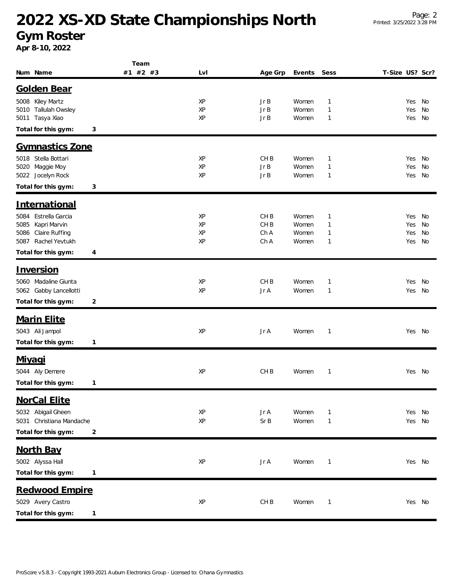## **2022 XS-XD State Championships North**

**Gym Roster**

**Apr 8-10, 2022**

|                          | Team     |     |                 |        |              |                 |        |    |
|--------------------------|----------|-----|-----------------|--------|--------------|-----------------|--------|----|
| Num Name                 | #1 #2 #3 | LvI | Age Grp         | Events | Sess         | T-Size US? Scr? |        |    |
| <b>Golden Bear</b>       |          |     |                 |        |              |                 |        |    |
| 5008 Kiley Martz         |          | XP  | JrB             | Women  | $\mathbf{1}$ |                 | Yes No |    |
| 5010 Tallulah Owsley     |          | XP  | Jr B            | Women  | $\mathbf{1}$ |                 | Yes    | No |
| 5011 Tasya Xiao          |          | XP  | Jr B            | Women  | 1            |                 | Yes    | No |
| Total for this gym:      | 3        |     |                 |        |              |                 |        |    |
| <b>Gymnastics Zone</b>   |          |     |                 |        |              |                 |        |    |
| 5018 Stella Bottari      |          | XP  | CH <sub>B</sub> | Women  | $\mathbf{1}$ |                 | Yes    | No |
| Maggie Moy<br>5020       |          | XP  | Jr B            | Women  | $\mathbf{1}$ |                 | Yes    | No |
| 5022 Jocelyn Rock        |          | XP  | Jr B            | Women  | $\mathbf{1}$ |                 | Yes    | No |
| Total for this gym:      | 3        |     |                 |        |              |                 |        |    |
| International            |          |     |                 |        |              |                 |        |    |
| Estrella Garcia<br>5084  |          | XP  | CH <sub>B</sub> | Women  | $\mathbf{1}$ |                 | Yes    | No |
| Kapri Marvin<br>5085     |          | XP  | CH <sub>B</sub> | Women  | $\mathbf{1}$ |                 | Yes    | No |
| Claire Ruffing<br>5086   |          | XP  | Ch A            | Women  | $\mathbf{1}$ |                 | Yes    | No |
| Rachel Yevtukh<br>5087   |          | XP  | Ch A            | Women  | $\mathbf{1}$ |                 | Yes    | No |
| Total for this gym:      | 4        |     |                 |        |              |                 |        |    |
| <u>Inversion</u>         |          |     |                 |        |              |                 |        |    |
| 5060 Madaline Giunta     |          | XP  | CH <sub>B</sub> | Women  | $\mathbf{1}$ |                 | Yes    | No |
| 5062 Gabby Lancellotti   |          | XP  | Jr A            | Women  | $\mathbf{1}$ |                 | Yes    | No |
| Total for this gym:      | 2        |     |                 |        |              |                 |        |    |
| <b>Marin Elite</b>       |          |     |                 |        |              |                 |        |    |
| 5043 Ali Jampol          |          | XP  | Jr A            | Women  | $\mathbf 1$  |                 | Yes No |    |
| Total for this gym:      | 1        |     |                 |        |              |                 |        |    |
| <u>Miyagi</u>            |          |     |                 |        |              |                 |        |    |
| 5044 Aly Demere          |          | XP  | CH <sub>B</sub> | Women  | $\mathbf{1}$ |                 | Yes No |    |
| Total for this gym:      | 1        |     |                 |        |              |                 |        |    |
|                          |          |     |                 |        |              |                 |        |    |
| NorCal Elite             |          |     |                 |        |              |                 |        |    |
| 5032 Abigail Gheen       |          | XP  | Jr A            | Women  | $\mathbf{1}$ |                 | Yes No |    |
| 5031 Christiana Mandache |          | XP  | Sr B            | Women  | $\mathbf{1}$ |                 | Yes No |    |
| Total for this gym:      | 2        |     |                 |        |              |                 |        |    |
| <b>North Bay</b>         |          |     |                 |        |              |                 |        |    |
| 5002 Alyssa Hall         |          | XP  | Jr A            | Women  | $\mathbf{1}$ |                 | Yes No |    |
| Total for this gym:      | 1        |     |                 |        |              |                 |        |    |
| Redwood Empire           |          |     |                 |        |              |                 |        |    |
| 5029 Avery Castro        |          | XP  | CH <sub>B</sub> | Women  | $\mathbf{1}$ |                 | Yes No |    |
| Total for this gym:      | 1        |     |                 |        |              |                 |        |    |
|                          |          |     |                 |        |              |                 |        |    |